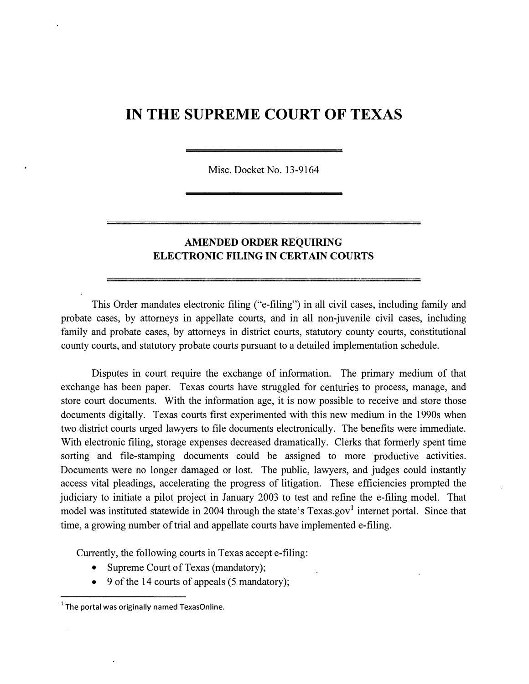## IN THE SUPREME COURT OF TEXAS

Misc. Docket No. 13-9164

## AMENDED ORDER REQUIRING ELECTRONIC FILING IN CERTAIN COURTS

This Order mandates electronic filing ("e-filing") in all civil cases, including family and probate cases, by attorneys in appellate courts, and in all non-juvenile civil cases, including family and probate cases, by attorneys in district courts, statutory county courts, constitutional county courts, and statutory probate courts pursuant to a detailed implementation schedule.

Disputes in court require the exchange of information. The primary medium of that exchange has been paper. Texas courts have struggled for centuries to process, manage, and store court documents. With the information age, it is now possible to receive and store those documents digitally. Texas courts first experimented with this new medium in the 1990s when two district courts urged lawyers to file documents electronically. The benefits were immediate. With electronic filing, storage expenses decreased dramatically. Clerks that formerly spent time sorting and file-stamping documents could be assigned to more productive activities. Documents were no longer damaged or lost. The public, lawyers, and judges could instantly access vital pleadings, accelerating the progress of litigation. These efficiencies prompted the judiciary to initiate a pilot project in January 2003 to test and refine the e-filing model. That model was instituted statewide in 2004 through the state's  $T$ exas.gov<sup>1</sup> internet portal. Since that time, a growing number of trial and appellate courts have implemented e-filing.

Currently, the following courts in Texas accept e-filing:

- Supreme Court of Texas (mandatory);
- 9 of the 14 courts of appeals  $(5 \text{ mandatory})$ ;

 $1$  The portal was originally named TexasOnline.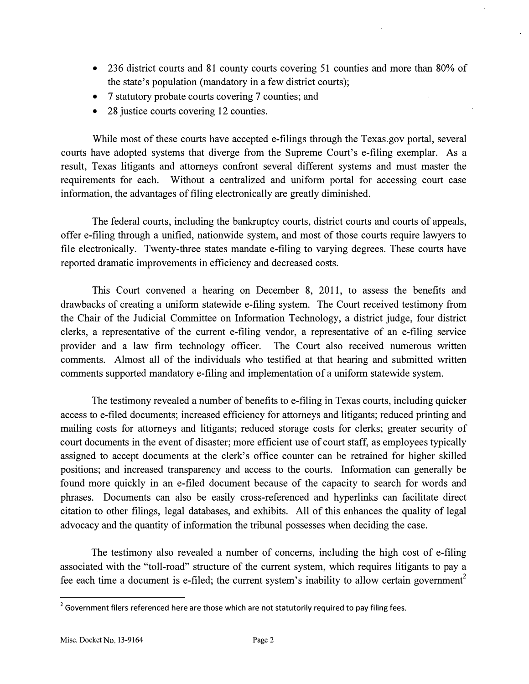- 236 district courts and 81 county courts covering 51 counties and more than 80% of the state's population (mandatory in a few district courts);
- 7 statutory probate courts covering 7 counties; and
- 28 justice courts covering 12 counties.

While most of these courts have accepted e-filings through the Texas.gov portal, several courts have adopted systems that diverge from the Supreme Court's e-filing exemplar. As a result, Texas litigants and attorneys confront several different systems and must master the requirements for each. Without a centralized and uniform portal for accessing court case information, the advantages of filing electronically are greatly diminished.

The federal courts, including the bankruptcy courts, district courts and courts of appeals, offer e-filing through a unified, nationwide system, and most of those courts require lawyers to file electronically. Twenty-three states mandate e-filing to varying degrees. These courts have reported dramatic improvements in efficiency and decreased costs.

This Court convened a hearing on December 8, 2011, to assess the benefits and drawbacks of creating a uniform statewide e-filing system. The Court received testimony from the Chair of the Judicial Committee on Information Technology, a district judge, four district clerks, a representative of the current e-filing vendor, a representative of an e-filing service provider and a law firm technology officer. The Court also received numerous written comments. Almost all of the individuals who testified at that hearing and submitted written comments supported mandatory e-filing and implementation of a uniform statewide system.

The testimony revealed a number of benefits to e-filing in Texas courts, including quicker access to e-filed documents; increased efficiency for attorneys and litigants; reduced printing and mailing costs for attorneys and litigants; reduced storage costs for clerks; greater security of court documents in the event of disaster; more efficient use of court staff, as employees typically assigned to accept documents at the clerk's office counter can be retrained for higher skilled positions; and increased transparency and access to the courts. Information can generally be found more quickly in an e-filed document because of the capacity to search for words and phrases. Documents can also be easily cross-referenced and hyperlinks can facilitate direct citation to other filings, legal databases, and exhibits. All of this enhances the quality of legal advocacy and the quantity of information the tribunal possesses when deciding the case.

The testimony also revealed a number of concerns, including the high cost of e-filing associated with the "toll-road" structure of the current system, which requires litigants to pay a fee each time a document is e-filed; the current system's inability to allow certain government<sup>2</sup>

 $2$  Government filers referenced here are those which are not statutorily required to pay filing fees.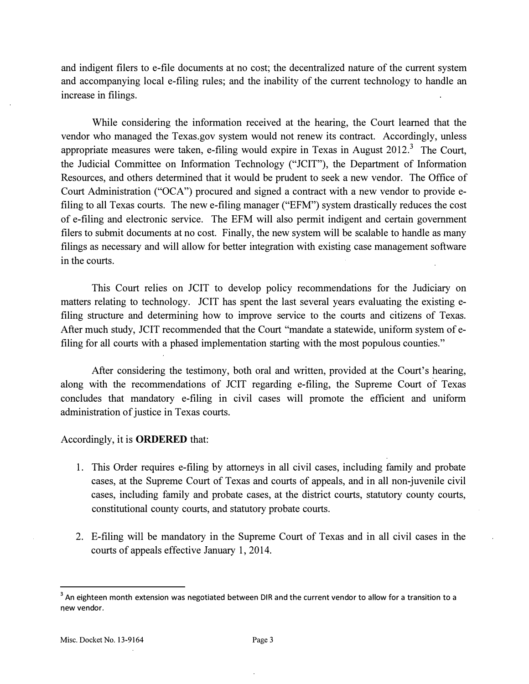and indigent filers to e-file documents at no cost; the decentralized nature of the current system and accompanying local e-filing rules; and the inability of the current technology to handle an increase in filings.

While considering the information received at the hearing, the Court learned that the vendor who managed the Texas.gov system would not renew its contract. Accordingly, unless appropriate measures were taken, e-filing would expire in Texas in August  $2012$ .<sup>3</sup> The Court, the Judicial Committee on Information Technology ("JCIT"), the Department of Information Resources, and others determined that it would be prudent to seek a new vendor. The Office of Court Administration ("OCA") procured and signed a contract with a new vendor to provide efiling to all Texas courts. The new e-filing manager ("EFM") system drastically reduces the cost of e-filing and electronic service. The EFM will also permit indigent and certain government filers to submit documents at no cost. Finally, the new system will be scalable to handle as many filings as necessary and will allow for better integration with existing case management software in the courts.

This Court relies on JCIT to develop policy recommendations for the Judiciary on matters relating to technology. JCIT has spent the last several years evaluating the existing efiling structure and determining how to improve service to the courts and citizens of Texas. After much study, JCIT recommended that the Court "mandate a statewide, uniform system of efiling for all courts with a phased implementation starting with the most populous counties."

After considering the testimony, both oral and written, provided at the Court's hearing, along with the recommendations of JCIT regarding e-filing, the Supreme Court of Texas concludes that mandatory e-filing in civil cases will promote the efficient and uniform administration of justice in Texas courts.

## Accordingly, it is ORDERED that:

- 1. This Order requires e-filing by attorneys in all civil cases, including family and probate cases, at the Supreme Court of Texas and courts of appeals, and in all non-juvenile civil cases, including family and probate cases, at the district courts, statutory county courts, constitutional county courts, and statutory probate courts.
- 2. E-filing will be mandatory in the Supreme Court of Texas and in all civil cases in the courts of appeals effective January 1, 2014.

<sup>&</sup>lt;sup>3</sup> An eighteen month extension was negotiated between DIR and the current vendor to allow for a transition to a new vendor.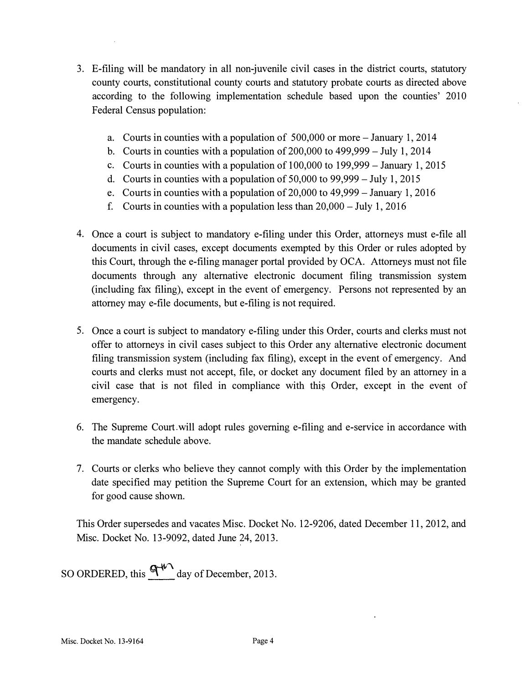- 3. E-filing will be mandatory in all non-juvenile civil cases in the district courts, statutory county courts, constitutional county courts and statutory probate courts as directed above according to the following implementation schedule based upon the counties' 2010 Federal Census population:
	- a. Courts in counties with a population of 500,000 or more- January 1, 2014
	- b. Courts in counties with a population of 200,000 to 499,999- July 1, 2014
	- c. Courts in counties with a population of  $100,000$  to  $199,999$  January 1, 2015
	- d. Courts in counties with a population of 50,000 to 99,999- July 1, 2015
	- e. Courts in counties with a population of 20,000 to 49,999- January 1, 2016
	- f. Courts in counties with a population less than  $20,000 \text{July } 1,2016$
- 4. Once a court is subject to mandatory e-filing under this Order, attorneys must e-file all documents in civil cases, except documents exempted by this Order or rules adopted by this Court, through the e-filing manager portal provided by OCA. Attorneys must not file documents through any alternative electronic document filing transmission system (including fax filing), except in the event of emergency. Persons not represented by an attorney may e-file documents, but e-filing is not required.
- 5. Once a court is subject to mandatory e-filing under this Order, courts and clerks must not offer to attorneys in civil cases subject to this Order any alternative electronic document filing transmission system (including fax filing), except in the event of emergency. And courts and clerks must not accept, file, or docket any document filed by an attorney in a civil case that is not filed in compliance with this Order, except in the event of emergency.
- 6. The Supreme Court will adopt rules governing e-filing and e-service in accordance with the mandate schedule above.
- 7. Courts or clerks who believe they cannot comply with this Order by the implementation date specified may petition the Supreme Court for an extension, which may be granted for good cause shown.

This Order supersedes and vacates Misc. Docket No. 12-9206, dated December 11, 2012, and Misc. Docket No. 13-9092, dated June 24, 2013.

SO ORDERED, this  $\mathbf{G}^{W}$  day of December, 2013.